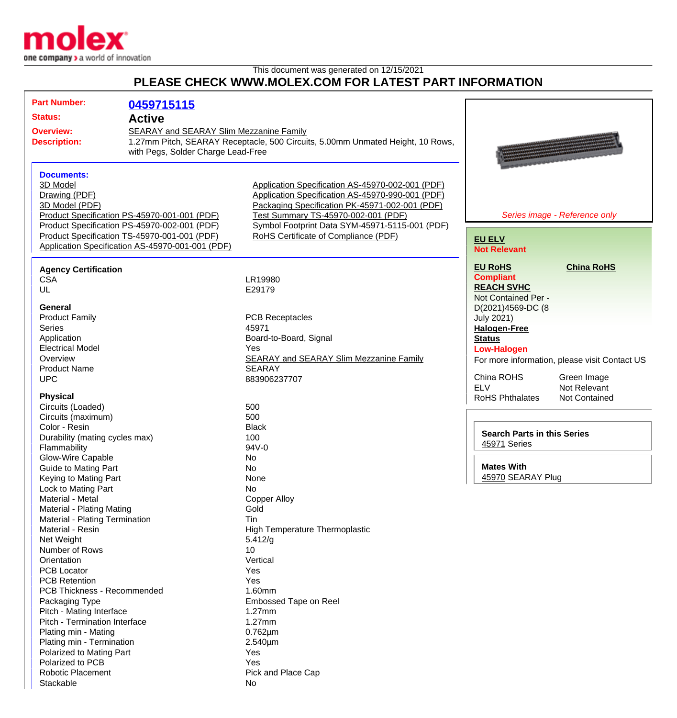

This document was generated on 12/15/2021 **PLEASE CHECK WWW.MOLEX.COM FOR LATEST PART INFORMATION**

| <b>Part Number:</b>            | 0459715115                                       |                                                                                |                                               |
|--------------------------------|--------------------------------------------------|--------------------------------------------------------------------------------|-----------------------------------------------|
| <b>Status:</b>                 | <b>Active</b>                                    |                                                                                |                                               |
| <b>Overview:</b>               | <b>SEARAY and SEARAY Slim Mezzanine Family</b>   |                                                                                |                                               |
| <b>Description:</b>            |                                                  | 1.27mm Pitch, SEARAY Receptacle, 500 Circuits, 5.00mm Unmated Height, 10 Rows, |                                               |
|                                | with Pegs, Solder Charge Lead-Free               |                                                                                |                                               |
|                                |                                                  |                                                                                |                                               |
| <b>Documents:</b>              |                                                  |                                                                                |                                               |
| 3D Model                       |                                                  | Application Specification AS-45970-002-001 (PDF)                               |                                               |
| Drawing (PDF)                  |                                                  | Application Specification AS-45970-990-001 (PDF)                               |                                               |
| 3D Model (PDF)                 |                                                  | Packaging Specification PK-45971-002-001 (PDF)                                 |                                               |
|                                | Product Specification PS-45970-001-001 (PDF)     | Test Summary TS-45970-002-001 (PDF)                                            | Series image - Reference only                 |
|                                | Product Specification PS-45970-002-001 (PDF)     | Symbol Footprint Data SYM-45971-5115-001 (PDF)                                 |                                               |
|                                | Product Specification TS-45970-001-001 (PDF)     | RoHS Certificate of Compliance (PDF)                                           | <b>EU ELV</b>                                 |
|                                | Application Specification AS-45970-001-001 (PDF) |                                                                                | <b>Not Relevant</b>                           |
|                                |                                                  |                                                                                |                                               |
| <b>Agency Certification</b>    |                                                  |                                                                                | <b>EU RoHS</b><br><b>China RoHS</b>           |
| <b>CSA</b>                     |                                                  | LR19980                                                                        | <b>Compliant</b>                              |
| UL                             |                                                  | E29179                                                                         | <b>REACH SVHC</b>                             |
|                                |                                                  |                                                                                | Not Contained Per -                           |
| <b>General</b>                 |                                                  |                                                                                | D(2021)4569-DC (8                             |
| <b>Product Family</b>          |                                                  | <b>PCB Receptacles</b>                                                         | <b>July 2021)</b>                             |
| <b>Series</b>                  |                                                  | 45971                                                                          | <b>Halogen-Free</b>                           |
| Application                    |                                                  | Board-to-Board, Signal                                                         | <b>Status</b>                                 |
| <b>Electrical Model</b>        |                                                  | Yes                                                                            | <b>Low-Halogen</b>                            |
| Overview                       |                                                  | <b>SEARAY and SEARAY Slim Mezzanine Family</b>                                 | For more information, please visit Contact US |
| <b>Product Name</b>            |                                                  | <b>SEARAY</b>                                                                  |                                               |
| <b>UPC</b>                     |                                                  | 883906237707                                                                   | China ROHS<br>Green Image                     |
|                                |                                                  |                                                                                | <b>ELV</b><br>Not Relevant                    |
| <b>Physical</b>                |                                                  |                                                                                | <b>RoHS Phthalates</b><br>Not Contained       |
| Circuits (Loaded)              |                                                  | 500                                                                            |                                               |
| Circuits (maximum)             |                                                  | 500                                                                            |                                               |
| Color - Resin                  |                                                  | <b>Black</b>                                                                   | <b>Search Parts in this Series</b>            |
| Durability (mating cycles max) |                                                  | 100                                                                            | 45971 Series                                  |
| Flammability                   |                                                  | 94V-0                                                                          |                                               |
| Glow-Wire Capable              |                                                  | No                                                                             |                                               |
| <b>Guide to Mating Part</b>    |                                                  | No                                                                             | <b>Mates With</b>                             |
| Keying to Mating Part          |                                                  | None                                                                           | 45970 SEARAY Plug                             |
| Lock to Mating Part            |                                                  | No                                                                             |                                               |
| Material - Metal               |                                                  | <b>Copper Alloy</b>                                                            |                                               |
| Material - Plating Mating      |                                                  | Gold                                                                           |                                               |
| Material - Plating Termination |                                                  | Tin                                                                            |                                               |
| Material - Resin               |                                                  | High Temperature Thermoplastic                                                 |                                               |
| Net Weight                     |                                                  | 5.412/g                                                                        |                                               |
| Number of Rows                 |                                                  | 10                                                                             |                                               |
| Orientation                    |                                                  | Vertical                                                                       |                                               |
| <b>PCB Locator</b>             |                                                  | Yes                                                                            |                                               |
| <b>PCB Retention</b>           |                                                  | Yes                                                                            |                                               |
| PCB Thickness - Recommended    |                                                  | 1.60mm                                                                         |                                               |
| Packaging Type                 |                                                  | <b>Embossed Tape on Reel</b>                                                   |                                               |
| Pitch - Mating Interface       |                                                  | 1.27mm                                                                         |                                               |
| Pitch - Termination Interface  |                                                  | 1.27mm                                                                         |                                               |
| Plating min - Mating           |                                                  | $0.762 \mu m$                                                                  |                                               |
| Plating min - Termination      |                                                  | 2.540µm                                                                        |                                               |
| Polarized to Mating Part       |                                                  | Yes                                                                            |                                               |
| Polarized to PCB               |                                                  | Yes                                                                            |                                               |
| <b>Robotic Placement</b>       |                                                  | Pick and Place Cap                                                             |                                               |
| Stackable                      |                                                  | No                                                                             |                                               |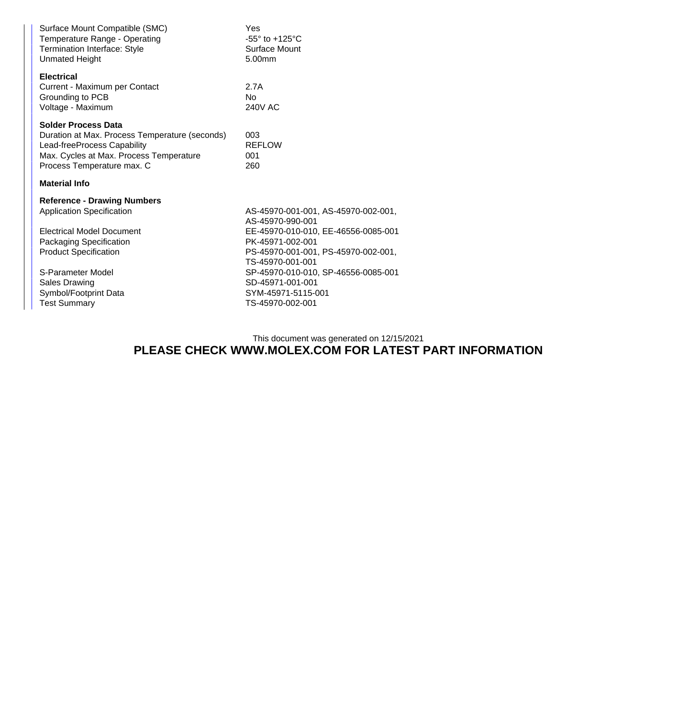| Surface Mount Compatible (SMC)<br>Temperature Range - Operating<br>Termination Interface: Style<br><b>Unmated Height</b>                                                             | Yes<br>-55 $\degree$ to +125 $\degree$ C<br>Surface Mount<br>5.00mm |  |  |  |
|--------------------------------------------------------------------------------------------------------------------------------------------------------------------------------------|---------------------------------------------------------------------|--|--|--|
| <b>Electrical</b><br>Current - Maximum per Contact<br>Grounding to PCB<br>Voltage - Maximum                                                                                          | 2.7A<br>N <sub>0</sub><br><b>240V AC</b>                            |  |  |  |
| <b>Solder Process Data</b><br>Duration at Max. Process Temperature (seconds)<br>Lead-freeProcess Capability<br>Max. Cycles at Max. Process Temperature<br>Process Temperature max. C | 003<br><b>REFLOW</b><br>001<br>260                                  |  |  |  |
| <b>Material Info</b>                                                                                                                                                                 |                                                                     |  |  |  |
|                                                                                                                                                                                      |                                                                     |  |  |  |
| <b>Reference - Drawing Numbers</b>                                                                                                                                                   |                                                                     |  |  |  |
| <b>Application Specification</b>                                                                                                                                                     | AS-45970-001-001, AS-45970-002-001,<br>AS-45970-990-001             |  |  |  |
| <b>Electrical Model Document</b>                                                                                                                                                     | EE-45970-010-010, EE-46556-0085-001                                 |  |  |  |
| <b>Packaging Specification</b>                                                                                                                                                       | PK-45971-002-001                                                    |  |  |  |
| <b>Product Specification</b>                                                                                                                                                         | PS-45970-001-001, PS-45970-002-001,<br>TS-45970-001-001             |  |  |  |
| S-Parameter Model                                                                                                                                                                    | SP-45970-010-010, SP-46556-0085-001                                 |  |  |  |
| <b>Sales Drawing</b>                                                                                                                                                                 | SD-45971-001-001                                                    |  |  |  |
| Symbol/Footprint Data                                                                                                                                                                | SYM-45971-5115-001                                                  |  |  |  |
| <b>Test Summary</b>                                                                                                                                                                  | TS-45970-002-001                                                    |  |  |  |

This document was generated on 12/15/2021

## **PLEASE CHECK WWW.MOLEX.COM FOR LATEST PART INFORMATION**